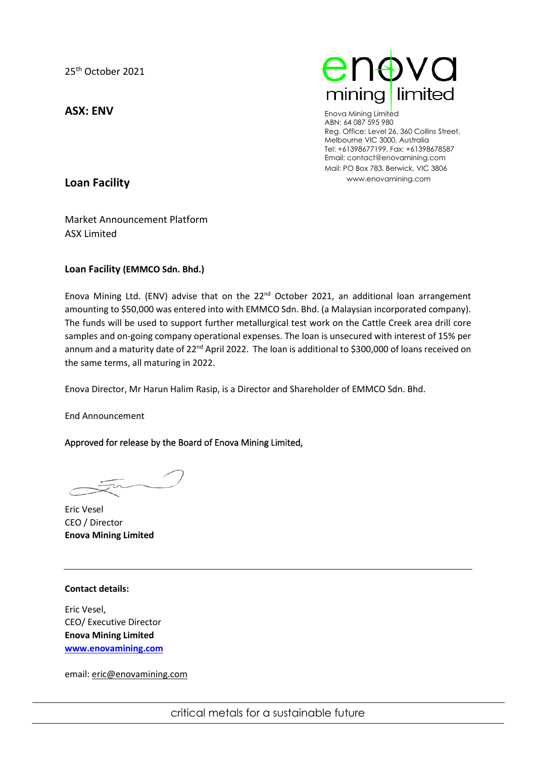**ASX: ENV**



Enova Mining Limited ABN: 64 087 595 980 Reg. Office: Level 26, 360 Collins Street, Melbourne VIC 3000, Australia Tel: +61398677199, Fax: +61398678587 Email: contact@enovamining.com Mail: PO Box 783, Berwick, VIC 3806 www.enovamining.com

**Loan Facility**

Market Announcement Platform ASX Limited

## **Loan Facility (EMMCO Sdn. Bhd.)**

Enova Mining Ltd. (ENV) advise that on the 22<sup>nd</sup> October 2021, an additional loan arrangement amounting to \$50,000 was entered into with EMMCO Sdn. Bhd. (a Malaysian incorporated company). The funds will be used to support further metallurgical test work on the Cattle Creek area drill core samples and on-going company operational expenses. The loan is unsecured with interest of 15% per annum and a maturity date of 22<sup>nd</sup> April 2022. The loan is additional to \$300,000 of loans received on the same terms, all maturing in 2022.

Enova Director, Mr Harun Halim Rasip, is a Director and Shareholder of EMMCO Sdn. Bhd.

End Announcement

## Approved for release by the Board of Enova Mining Limited,

Eric Vesel CEO / Director **Enova Mining Limited** 

## **Contact details:**

Eric Vesel, CEO/ Executive Director **Enova Mining Limited [www.enovamining.com](http://www.enovamining.com/)**

email: [eric@enovamining.com](mailto:eric@enovamining.com)